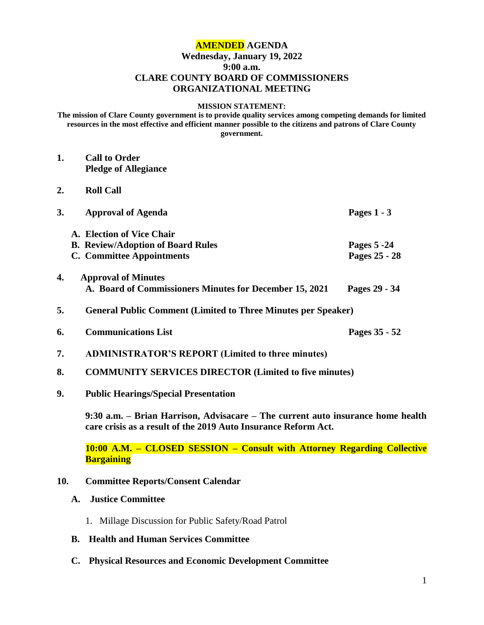# **AMENDED AGENDA Wednesday, January 19, 2022 9:00 a.m. CLARE COUNTY BOARD OF COMMISSIONERS ORGANIZATIONAL MEETING**

#### **MISSION STATEMENT:**

**The mission of Clare County government is to provide quality services among competing demands for limited resources in the most effective and efficient manner possible to the citizens and patrons of Clare County government.**

- **1. Call to Order Pledge of Allegiance 2. Roll Call 3. Approval of Agenda Pages 1 - 3 A. Election of Vice Chair B. Review/Adoption of Board Rules Pages 5 -24 C. Committee Appointments Pages 25 - 28 4. Approval of Minutes A. Board of Commissioners Minutes for December 15, 2021 Pages 29 - 34 5. General Public Comment (Limited to Three Minutes per Speaker) 6. Communications List Pages 35 - 52 7. ADMINISTRATOR'S REPORT (Limited to three minutes) 8. COMMUNITY SERVICES DIRECTOR (Limited to five minutes)**
- **9. Public Hearings/Special Presentation**

**9:30 a.m. – Brian Harrison, Advisacare – The current auto insurance home health care crisis as a result of the 2019 Auto Insurance Reform Act.**

**10:00 A.M. – CLOSED SESSION – Consult with Attorney Regarding Collective Bargaining**

#### **10. Committee Reports/Consent Calendar**

## **A. Justice Committee**

- 1. Millage Discussion for Public Safety/Road Patrol
- **B. Health and Human Services Committee**
- **C. Physical Resources and Economic Development Committee**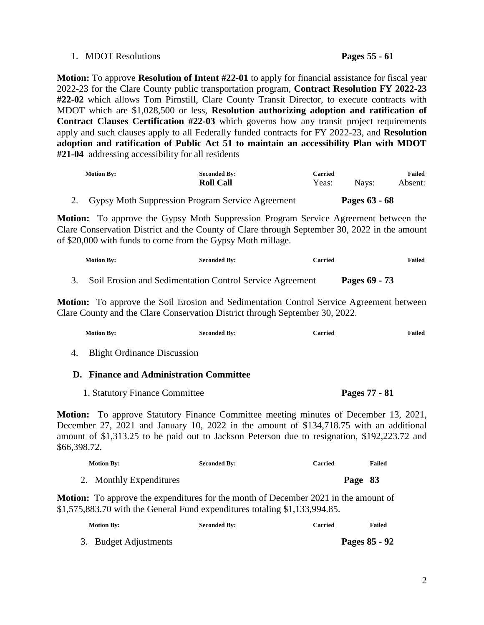### 1. MDOT Resolutions **Pages 55 - 61**

**Motion:** To approve **Resolution of Intent #22-01** to apply for financial assistance for fiscal year 2022-23 for the Clare County public transportation program, **Contract Resolution FY 2022-23 #22-02** which allows Tom Pirnstill, Clare County Transit Director, to execute contracts with MDOT which are \$1,028,500 or less, **Resolution authorizing adoption and ratification of Contract Clauses Certification #22-03** which governs how any transit project requirements apply and such clauses apply to all Federally funded contracts for FY 2022-23, and **Resolution adoption and ratification of Public Act 51 to maintain an accessibility Plan with MDOT #21-04** addressing accessibility for all residents

| <b>Motion By:</b> | <b>Seconded By:</b><br><b>Roll Call</b> | Carried<br>Yeas: | Navs: | <b>Failed</b><br>Absent: |
|-------------------|-----------------------------------------|------------------|-------|--------------------------|
|                   |                                         |                  |       |                          |

2. Gypsy Moth Suppression Program Service Agreement **Pages 63 - 68**

**Motion:** To approve the Gypsy Moth Suppression Program Service Agreement between the Clare Conservation District and the County of Clare through September 30, 2022 in the amount of \$20,000 with funds to come from the Gypsy Moth millage.

| <b>Motion By:</b> | <b>Seconded By:</b>                                      | Carried       | Failed |
|-------------------|----------------------------------------------------------|---------------|--------|
|                   | Soil Erosion and Sedimentation Control Service Agreement | Pages 69 - 73 |        |

**Motion:** To approve the Soil Erosion and Sedimentation Control Service Agreement between Clare County and the Clare Conservation District through September 30, 2022.

| <b>Motion By:</b>                                                                                                                                                                                                                                                                                      | <b>Seconded By:</b> | <b>Carried</b> | <b>Failed</b> |
|--------------------------------------------------------------------------------------------------------------------------------------------------------------------------------------------------------------------------------------------------------------------------------------------------------|---------------------|----------------|---------------|
| <b>Blight Ordinance Discussion</b><br>4.                                                                                                                                                                                                                                                               |                     |                |               |
| <b>D.</b> Finance and Administration Committee                                                                                                                                                                                                                                                         |                     |                |               |
| 1. Statutory Finance Committee                                                                                                                                                                                                                                                                         |                     | Pages 77 - 81  |               |
| <b>Motion:</b> To approve Statutory Finance Committee meeting minutes of December 13, 2021,<br>December 27, 2021 and January 10, 2022 in the amount of \$134,718.75 with an additional<br>amount of \$1,313.25 to be paid out to Jackson Peterson due to resignation, \$192,223.72 and<br>\$66,398.72. |                     |                |               |
| <b>Motion By:</b>                                                                                                                                                                                                                                                                                      | <b>Seconded By:</b> | <b>Carried</b> | Failed        |
| 2. Monthly Expenditures                                                                                                                                                                                                                                                                                |                     | Page 83        |               |

**Motion:** To approve the expenditures for the month of December 2021 in the amount of \$1,575,883.70 with the General Fund expenditures totaling \$1,133,994.85.

| <b>Motion By:</b>     | <b>Seconded By:</b> | Carried | <b>Failed</b> |
|-----------------------|---------------------|---------|---------------|
| 3. Budget Adjustments |                     |         | Pages 85 - 92 |